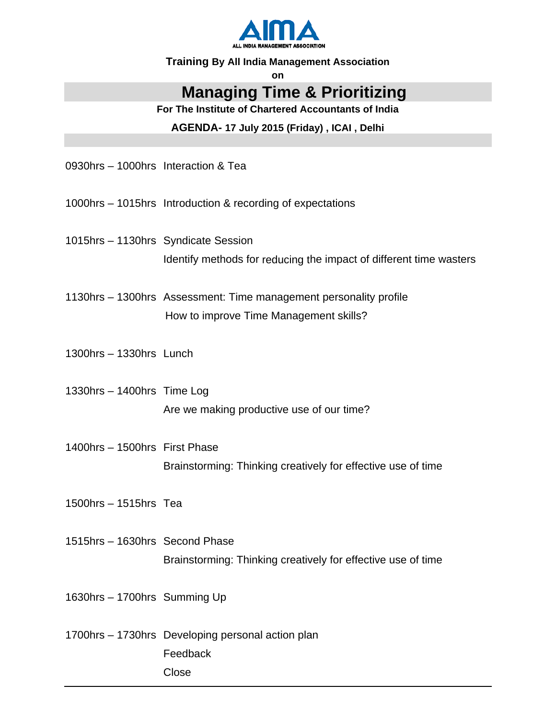

#### **Training By All India Management Association**

on

## **Managing Time & Prioritizing**

For The Institute of Chartered Accountants of India

AGENDA- 17 July 2015 (Friday), ICAI, Delhi

0930hrs - 1000hrs Interaction & Tea

1000hrs - 1015hrs Introduction & recording of expectations

1015hrs - 1130hrs Syndicate Session Identify methods for reducing the impact of different time wasters

1130hrs - 1300hrs Assessment: Time management personality profile How to improve Time Management skills?

 $1300$ hrs - 1330hrs Lunch

1330hrs - 1400hrs Time Log Are we making productive use of our time?

- 1400hrs 1500hrs First Phase Brainstorming: Thinking creatively for effective use of time
- 1500hrs 1515hrs Tea
- 1515hrs 1630hrs Second Phase Brainstorming: Thinking creatively for effective use of time

1630hrs - 1700hrs Summing Up

1700hrs - 1730hrs Developing personal action plan Feedback Close